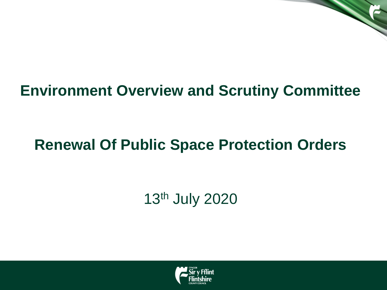#### **Environment Overview and Scrutiny Committee**

### **Renewal Of Public Space Protection Orders**

### 13th July 2020

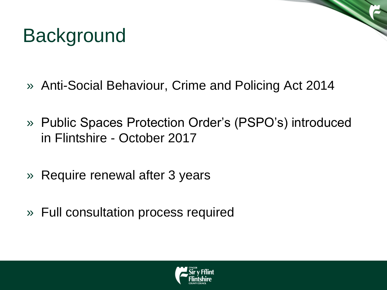# **Background**

- » Anti-Social Behaviour, Crime and Policing Act 2014
- » Public Spaces Protection Order's (PSPO's) introduced in Flintshire - October 2017
- » Require renewal after 3 years
- » Full consultation process required

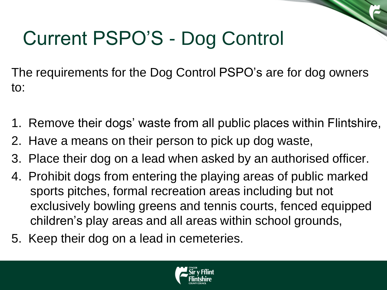# Current PSPO'S - Dog Control

The requirements for the Dog Control PSPO's are for dog owners to:

- 1. Remove their dogs' waste from all public places within Flintshire,
- 2. Have a means on their person to pick up dog waste,
- 3. Place their dog on a lead when asked by an authorised officer.
- 4. Prohibit dogs from entering the playing areas of public marked sports pitches, formal recreation areas including but not exclusively bowling greens and tennis courts, fenced equipped children's play areas and all areas within school grounds,
- 5. Keep their dog on a lead in cemeteries.

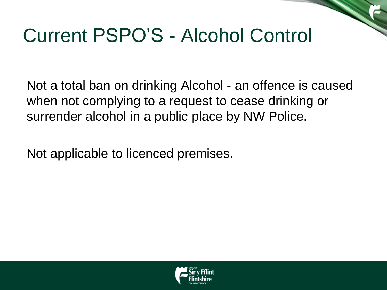## Current PSPO'S - Alcohol Control

Not a total ban on drinking Alcohol - an offence is caused when not complying to a request to cease drinking or surrender alcohol in a public place by NW Police.

Not applicable to licenced premises.

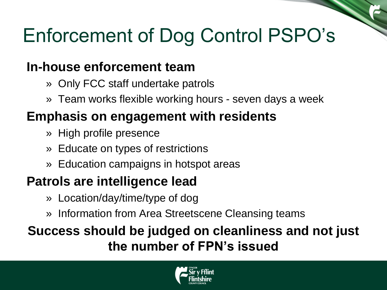## Enforcement of Dog Control PSPO's

#### **In-house enforcement team**

- » Only FCC staff undertake patrols
- » Team works flexible working hours seven days a week

#### **Emphasis on engagement with residents**

- » High profile presence
- » Educate on types of restrictions
- » Education campaigns in hotspot areas

#### **Patrols are intelligence lead**

- » Location/day/time/type of dog
- » Information from Area Streetscene Cleansing teams

#### **Success should be judged on cleanliness and not just the number of FPN's issued**